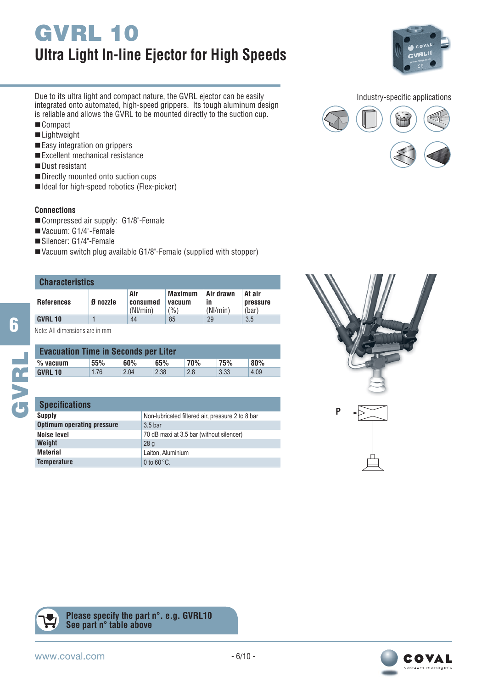# **GVRL 10 Ultra Light In-line Ejector for High Speeds**



Due to its ultra light and compact nature, the GVRL ejector can be easily integrated onto automated, high-speed grippers. Its tough aluminum design is reliable and allows the GVRL to be mounted directly to the suction cup.

- Compact
- ■Lightweight
- Easy integration on grippers
- Excellent mechanical resistance
- Dust resistant
- Directly mounted onto suction cups
- Ideal for high-speed robotics (Flex-picker)

### **Connections**

- Compressed air supply: G1/8"-Female
- Vacuum: G1/4"-Female
- Silencer: G1/4"-Female
- Vacuum switch plug available G1/8"-Female (supplied with stopper)

# **Characteristics**

**6**

**GVRL**

| <b>UNAFAGIETISHUS</b> |          |                             |                                   |                             |                                    |  |  |  |
|-----------------------|----------|-----------------------------|-----------------------------------|-----------------------------|------------------------------------|--|--|--|
| <b>References</b>     | Ø nozzle | Air<br>consumed<br>(Nl/min) | <b>Maximum</b><br>vacuum<br>(9/0) | Air drawn<br>ın<br>(Nl/min) | At air<br><b>pressure</b><br>(bar) |  |  |  |
| <b>GVRL 10</b>        |          | 44                          | 85                                | 29                          | 3.5                                |  |  |  |

Note: All dimensions are in mm

| <b>Evacuation Time in Seconds per Liter</b> |      |      |      |            |            |      |  |
|---------------------------------------------|------|------|------|------------|------------|------|--|
| $%$ vacuum                                  | 55%  | 60%  | 65%  | <b>70%</b> | <b>75%</b> | 80%  |  |
| <b>GVRL 10</b>                              | 1.76 | 2.04 | 2.38 | 2.8        | 3.33       | 4.09 |  |

### **Specifications**

| ,,,,,,,,,,,,,,,,,                 |                                                  |
|-----------------------------------|--------------------------------------------------|
| Supply                            | Non-lubricated filtered air, pressure 2 to 8 bar |
| <b>Optimum operating pressure</b> | 3.5 <sub>bar</sub>                               |
| Noise level                       | 70 dB maxi at 3.5 bar (without silencer)         |
| Weight                            | 28q                                              |
| <b>Material</b>                   | Laiton, Aluminium                                |
| <b>Temperature</b>                | 0 to $60^{\circ}$ C.                             |





**Please specify the part n°. e.g. GVRL10 See part n° table above**





UT